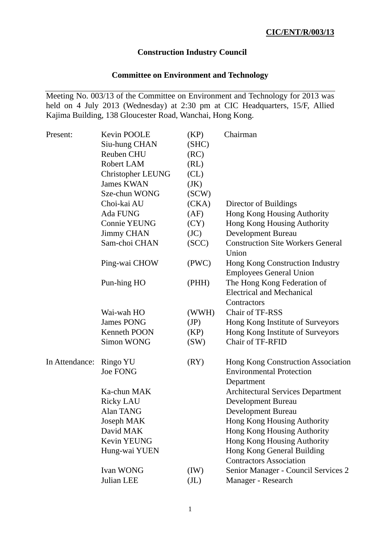# **Construction Industry Council**

# **Committee on Environment and Technology**

Meeting No. 003/13 of the Committee on Environment and Technology for 2013 was held on 4 July 2013 (Wednesday) at 2:30 pm at CIC Headquarters, 15/F, Allied Kajima Building, 138 Gloucester Road, Wanchai, Hong Kong.

| Present:       | Kevin POOLE                 | (KP)              | Chairman                                                                            |
|----------------|-----------------------------|-------------------|-------------------------------------------------------------------------------------|
|                | Siu-hung CHAN               | (SHC)             |                                                                                     |
|                | Reuben CHU                  | (RC)              |                                                                                     |
|                | Robert LAM                  | (RL)              |                                                                                     |
|                | <b>Christopher LEUNG</b>    | CL)               |                                                                                     |
|                | <b>James KWAN</b>           | (JK)              |                                                                                     |
|                | Sze-chun WONG               | SCW)              |                                                                                     |
|                | Choi-kai AU                 | (CKA)             | Director of Buildings                                                               |
|                | Ada FUNG                    | (AF)              | Hong Kong Housing Authority                                                         |
|                | Connie YEUNG                | (CY)              | Hong Kong Housing Authority                                                         |
|                | <b>Jimmy CHAN</b>           | (JC)              | Development Bureau                                                                  |
|                | Sam-choi CHAN               | (SCC)             | <b>Construction Site Workers General</b><br>Union                                   |
|                | Ping-wai CHOW               | (PWC)             | Hong Kong Construction Industry<br><b>Employees General Union</b>                   |
|                | Pun-hing HO                 | (PHH)             | The Hong Kong Federation of<br><b>Electrical and Mechanical</b><br>Contractors      |
|                | Wai-wah HO                  | (WWH)             | Chair of TF-RSS                                                                     |
|                | <b>James PONG</b>           | (JP)              | Hong Kong Institute of Surveyors                                                    |
|                | Kenneth POON                | (KP)              | Hong Kong Institute of Surveyors                                                    |
|                | Simon WONG                  | (SW)              | Chair of TF-RFID                                                                    |
| In Attendance: | Ringo YU<br><b>Joe FONG</b> | (RY)              | Hong Kong Construction Association<br><b>Environmental Protection</b><br>Department |
|                | Ka-chun MAK                 |                   | <b>Architectural Services Department</b>                                            |
|                | <b>Ricky LAU</b>            |                   | <b>Development Bureau</b>                                                           |
|                | Alan TANG                   |                   | <b>Development Bureau</b>                                                           |
|                | Joseph MAK                  |                   | Hong Kong Housing Authority                                                         |
|                | David MAK                   |                   | Hong Kong Housing Authority                                                         |
|                | Kevin YEUNG                 |                   | Hong Kong Housing Authority                                                         |
|                | Hung-wai YUEN               |                   | Hong Kong General Building<br><b>Contractors Association</b>                        |
|                | <b>Ivan WONG</b>            | (IW)              | Senior Manager - Council Services 2                                                 |
|                | Julian LEE                  | (J <sub>L</sub> ) | Manager - Research                                                                  |
|                |                             |                   |                                                                                     |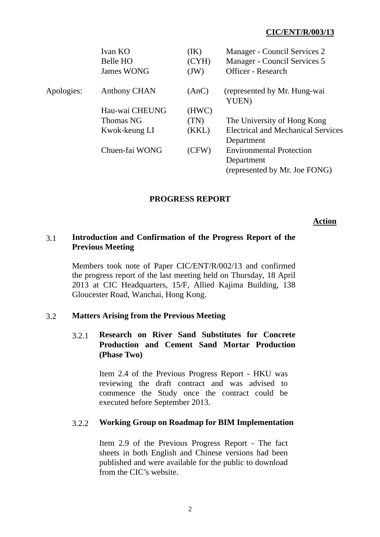|            | Ivan KO<br>Belle HO | (IK)<br>(CYH) | Manager - Council Services 2<br>Manager - Council Services 5 |
|------------|---------------------|---------------|--------------------------------------------------------------|
|            | <b>James WONG</b>   | (JW)          | <b>Officer</b> - Research                                    |
| Apologies: | <b>Anthony CHAN</b> | (AnC)         | (represented by Mr. Hung-wai<br>YUEN)                        |
|            | Hau-wai CHEUNG      | (HWC)         |                                                              |
|            | Thomas NG           | (TN)          | The University of Hong Kong                                  |
|            | Kwok-keung LI       | (KKL)         | <b>Electrical and Mechanical Services</b>                    |
|            |                     |               | Department                                                   |
|            | Chuen-fai WONG      | (CFW)         | <b>Environmental Protection</b>                              |
|            |                     |               | Department                                                   |
|            |                     |               | (represented by Mr. Joe FONG)                                |

## **PROGRESS REPORT**

#### **Action**

## 3.1 **Introduction and Confirmation of the Progress Report of the Previous Meeting**

Members took note of Paper CIC/ENT/R/002/13 and confirmed the progress report of the last meeting held on Thursday, 18 April 2013 at CIC Headquarters, 15/F, Allied Kajima Building, 138 Gloucester Road, Wanchai, Hong Kong.

### 3.2 **Matters Arising from the Previous Meeting**

# 3.2.1 **Research on River Sand Substitutes for Concrete Production and Cement Sand Mortar Production (Phase Two)**

Item 2.4 of the Previous Progress Report - HKU was reviewing the draft contract and was advised to commence the Study once the contract could be executed before September 2013.

### 3.2.2 **Working Group on Roadmap for BIM Implementation**

 Item 2.9 of the Previous Progress Report - The fact sheets in both English and Chinese versions had been published and were available for the public to download from the CIC's website.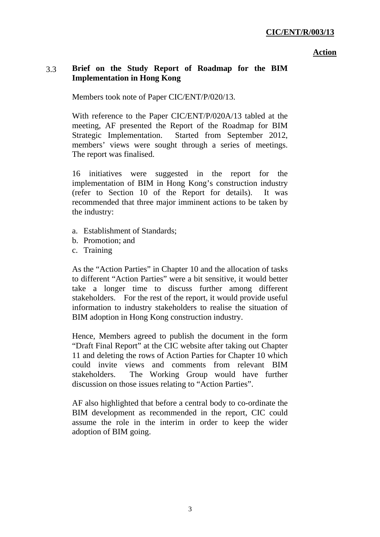# 3.3 **Brief on the Study Report of Roadmap for the BIM Implementation in Hong Kong**

Members took note of Paper CIC/ENT/P/020/13.

With reference to the Paper CIC/ENT/P/020A/13 tabled at the meeting, AF presented the Report of the Roadmap for BIM Strategic Implementation. Started from September 2012, members' views were sought through a series of meetings. The report was finalised.

16 initiatives were suggested in the report for the implementation of BIM in Hong Kong's construction industry (refer to Section 10 of the Report for details). It was recommended that three major imminent actions to be taken by the industry:

- a. Establishment of Standards;
- b. Promotion; and
- c. Training

As the "Action Parties" in Chapter 10 and the allocation of tasks to different "Action Parties" were a bit sensitive, it would better take a longer time to discuss further among different stakeholders. For the rest of the report, it would provide useful information to industry stakeholders to realise the situation of BIM adoption in Hong Kong construction industry.

Hence, Members agreed to publish the document in the form "Draft Final Report" at the CIC website after taking out Chapter 11 and deleting the rows of Action Parties for Chapter 10 which could invite views and comments from relevant BIM stakeholders. The Working Group would have further discussion on those issues relating to "Action Parties".

AF also highlighted that before a central body to co-ordinate the BIM development as recommended in the report, CIC could assume the role in the interim in order to keep the wider adoption of BIM going.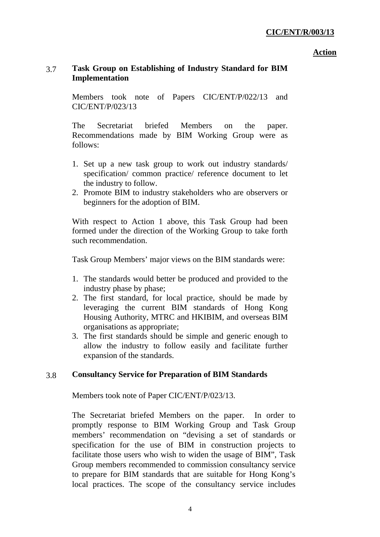# 3.7 **Task Group on Establishing of Industry Standard for BIM Implementation**

Members took note of Papers CIC/ENT/P/022/13 and CIC/ENT/P/023/13

The Secretariat briefed Members on the paper. Recommendations made by BIM Working Group were as follows:

- 1. Set up a new task group to work out industry standards/ specification/ common practice/ reference document to let the industry to follow.
- 2. Promote BIM to industry stakeholders who are observers or beginners for the adoption of BIM.

With respect to Action 1 above, this Task Group had been formed under the direction of the Working Group to take forth such recommendation.

Task Group Members' major views on the BIM standards were:

- 1. The standards would better be produced and provided to the industry phase by phase;
- 2. The first standard, for local practice, should be made by leveraging the current BIM standards of Hong Kong Housing Authority, MTRC and HKIBIM, and overseas BIM organisations as appropriate;
- 3. The first standards should be simple and generic enough to allow the industry to follow easily and facilitate further expansion of the standards.

# 3.8 **Consultancy Service for Preparation of BIM Standards**

Members took note of Paper CIC/ENT/P/023/13.

The Secretariat briefed Members on the paper. In order to promptly response to BIM Working Group and Task Group members' recommendation on "devising a set of standards or specification for the use of BIM in construction projects to facilitate those users who wish to widen the usage of BIM", Task Group members recommended to commission consultancy service to prepare for BIM standards that are suitable for Hong Kong's local practices. The scope of the consultancy service includes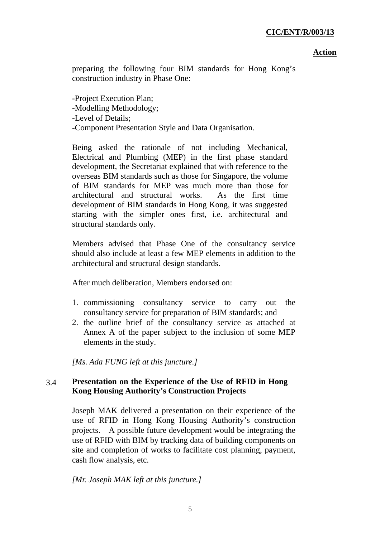preparing the following four BIM standards for Hong Kong's construction industry in Phase One:

-Project Execution Plan; -Modelling Methodology; -Level of Details; -Component Presentation Style and Data Organisation.

Being asked the rationale of not including Mechanical, Electrical and Plumbing (MEP) in the first phase standard development, the Secretariat explained that with reference to the overseas BIM standards such as those for Singapore, the volume of BIM standards for MEP was much more than those for architectural and structural works. As the first time development of BIM standards in Hong Kong, it was suggested starting with the simpler ones first, i.e. architectural and structural standards only.

Members advised that Phase One of the consultancy service should also include at least a few MEP elements in addition to the architectural and structural design standards.

After much deliberation, Members endorsed on:

- 1. commissioning consultancy service to carry out the consultancy service for preparation of BIM standards; and
- 2. the outline brief of the consultancy service as attached at Annex A of the paper subject to the inclusion of some MEP elements in the study.

*[Ms. Ada FUNG left at this juncture.]* 

# 3.4 **Presentation on the Experience of the Use of RFID in Hong Kong Housing Authority's Construction Projects**

Joseph MAK delivered a presentation on their experience of the use of RFID in Hong Kong Housing Authority's construction projects. A possible future development would be integrating the use of RFID with BIM by tracking data of building components on site and completion of works to facilitate cost planning, payment, cash flow analysis, etc.

*[Mr. Joseph MAK left at this juncture.]*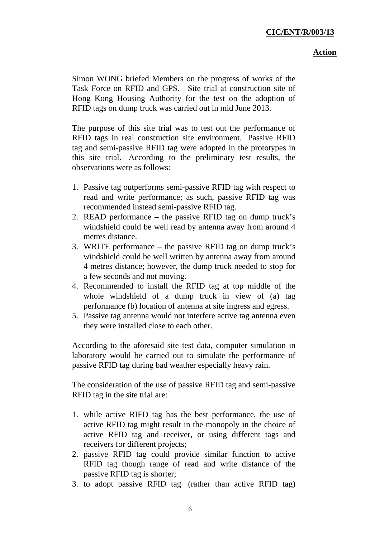Simon WONG briefed Members on the progress of works of the Task Force on RFID and GPS. Site trial at construction site of Hong Kong Housing Authority for the test on the adoption of RFID tags on dump truck was carried out in mid June 2013.

The purpose of this site trial was to test out the performance of RFID tags in real construction site environment. Passive RFID tag and semi-passive RFID tag were adopted in the prototypes in this site trial. According to the preliminary test results, the observations were as follows:

- 1. Passive tag outperforms semi-passive RFID tag with respect to read and write performance; as such, passive RFID tag was recommended instead semi-passive RFID tag.
- 2. READ performance the passive RFID tag on dump truck's windshield could be well read by antenna away from around 4 metres distance.
- 3. WRITE performance the passive RFID tag on dump truck's windshield could be well written by antenna away from around 4 metres distance; however, the dump truck needed to stop for a few seconds and not moving.
- 4. Recommended to install the RFID tag at top middle of the whole windshield of a dump truck in view of (a) tag performance (b) location of antenna at site ingress and egress.
- 5. Passive tag antenna would not interfere active tag antenna even they were installed close to each other.

According to the aforesaid site test data, computer simulation in laboratory would be carried out to simulate the performance of passive RFID tag during bad weather especially heavy rain.

The consideration of the use of passive RFID tag and semi-passive RFID tag in the site trial are:

- 1. while active RIFD tag has the best performance, the use of active RFID tag might result in the monopoly in the choice of active RFID tag and receiver, or using different tags and receivers for different projects;
- 2. passive RFID tag could provide similar function to active RFID tag though range of read and write distance of the passive RFID tag is shorter;
- 3. to adopt passive RFID tag (rather than active RFID tag)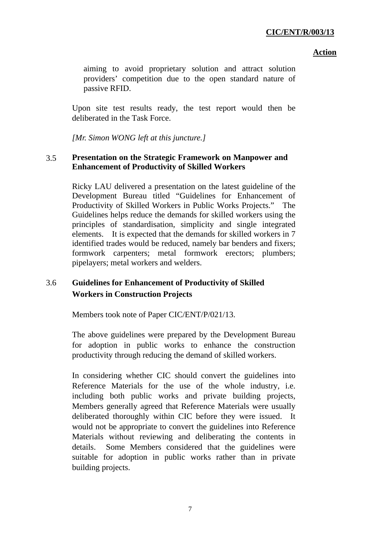#### **Action**

aiming to avoid proprietary solution and attract solution providers' competition due to the open standard nature of passive RFID.

Upon site test results ready, the test report would then be deliberated in the Task Force.

*[Mr. Simon WONG left at this juncture.]* 

# 3.5 **Presentation on the Strategic Framework on Manpower and Enhancement of Productivity of Skilled Workers**

Ricky LAU delivered a presentation on the latest guideline of the Development Bureau titled "Guidelines for Enhancement of Productivity of Skilled Workers in Public Works Projects." The Guidelines helps reduce the demands for skilled workers using the principles of standardisation, simplicity and single integrated elements. It is expected that the demands for skilled workers in 7 identified trades would be reduced, namely bar benders and fixers; formwork carpenters; metal formwork erectors; plumbers; pipelayers; metal workers and welders.

# 3.6 **Guidelines for Enhancement of Productivity of Skilled Workers in Construction Projects**

Members took note of Paper CIC/ENT/P/021/13.

The above guidelines were prepared by the Development Bureau for adoption in public works to enhance the construction productivity through reducing the demand of skilled workers.

In considering whether CIC should convert the guidelines into Reference Materials for the use of the whole industry, i.e. including both public works and private building projects, Members generally agreed that Reference Materials were usually deliberated thoroughly within CIC before they were issued. It would not be appropriate to convert the guidelines into Reference Materials without reviewing and deliberating the contents in details. Some Members considered that the guidelines were suitable for adoption in public works rather than in private building projects.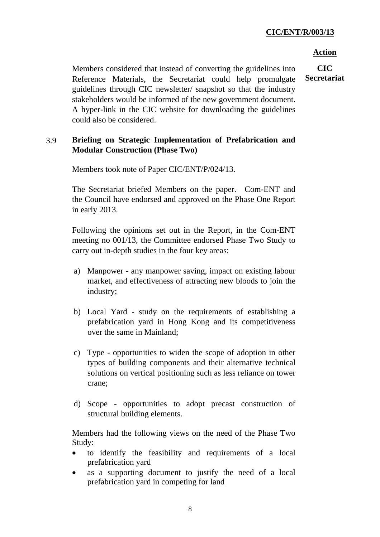#### **Action**

**CIC Secretariat** 

Members considered that instead of converting the guidelines into Reference Materials, the Secretariat could help promulgate guidelines through CIC newsletter/ snapshot so that the industry stakeholders would be informed of the new government document. A hyper-link in the CIC website for downloading the guidelines could also be considered.

## 3.9 **Briefing on Strategic Implementation of Prefabrication and Modular Construction (Phase Two)**

Members took note of Paper CIC/ENT/P/024/13.

The Secretariat briefed Members on the paper. Com-ENT and the Council have endorsed and approved on the Phase One Report in early 2013.

Following the opinions set out in the Report, in the Com-ENT meeting no 001/13, the Committee endorsed Phase Two Study to carry out in-depth studies in the four key areas:

- a) Manpower any manpower saving, impact on existing labour market, and effectiveness of attracting new bloods to join the industry;
- b) Local Yard study on the requirements of establishing a prefabrication yard in Hong Kong and its competitiveness over the same in Mainland;
- c) Type opportunities to widen the scope of adoption in other types of building components and their alternative technical solutions on vertical positioning such as less reliance on tower crane;
- d) Scope opportunities to adopt precast construction of structural building elements.

Members had the following views on the need of the Phase Two Study:

- to identify the feasibility and requirements of a local prefabrication yard
- as a supporting document to justify the need of a local prefabrication yard in competing for land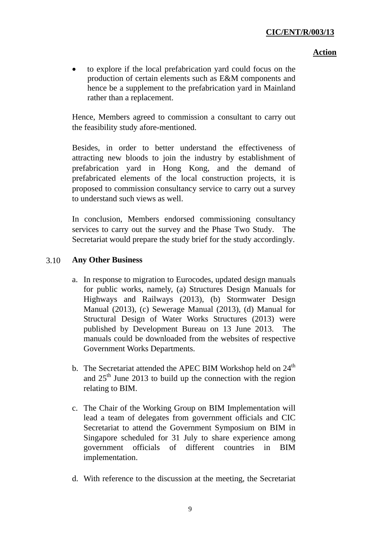### **Action**

• to explore if the local prefabrication yard could focus on the production of certain elements such as E&M components and hence be a supplement to the prefabrication yard in Mainland rather than a replacement.

Hence, Members agreed to commission a consultant to carry out the feasibility study afore-mentioned.

Besides, in order to better understand the effectiveness of attracting new bloods to join the industry by establishment of prefabrication yard in Hong Kong, and the demand of prefabricated elements of the local construction projects, it is proposed to commission consultancy service to carry out a survey to understand such views as well.

In conclusion, Members endorsed commissioning consultancy services to carry out the survey and the Phase Two Study. The Secretariat would prepare the study brief for the study accordingly.

## 3.10 **Any Other Business**

- a. In response to migration to Eurocodes, updated design manuals for public works, namely, (a) Structures Design Manuals for Highways and Railways (2013), (b) Stormwater Design Manual (2013), (c) Sewerage Manual (2013), (d) Manual for Structural Design of Water Works Structures (2013) were published by Development Bureau on 13 June 2013. The manuals could be downloaded from the websites of respective Government Works Departments.
- b. The Secretariat attended the APEC BIM Workshop held on  $24<sup>th</sup>$ and  $25<sup>th</sup>$  June 2013 to build up the connection with the region relating to BIM.
- c. The Chair of the Working Group on BIM Implementation will lead a team of delegates from government officials and CIC Secretariat to attend the Government Symposium on BIM in Singapore scheduled for 31 July to share experience among government officials of different countries in BIM implementation.
- d. With reference to the discussion at the meeting, the Secretariat